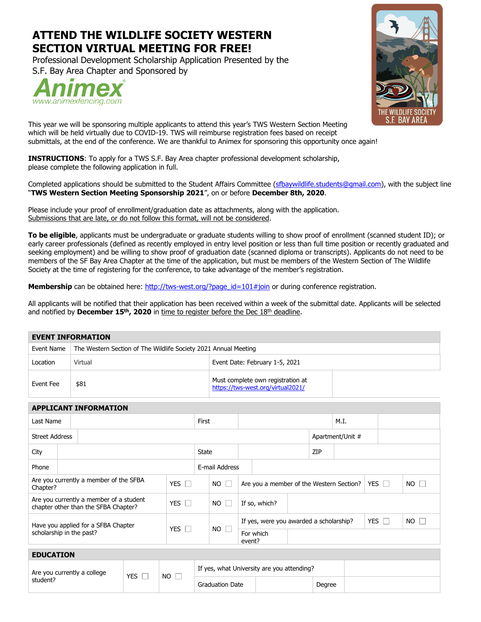# **ATTEND THE WILDLIFE SOCIETY WESTERN SECTION VIRTUAL MEETING FOR FREE!**

Professional Development Scholarship Application Presented by the S.F. Bay Area Chapter and Sponsored by





This year we will be sponsoring multiple applicants to attend this year's TWS Western Section Meeting which will be held virtually due to COVID-19. TWS will reimburse registration fees based on receipt submittals, at the end of the conference. We are thankful to Animex for sponsoring this opportunity once again!

**INSTRUCTIONS**: To apply for a TWS S.F. Bay Area chapter professional development scholarship, please complete the following application in full.

Completed applications should be submitted to the Student Affairs Committee [\(sfbaywildlife.students@gmail.com\)](mailto:sfbaywildlife.students@gmail.com), with the subject line "**TWS Western Section Meeting Sponsorship 2021**", on or before **December 8th, 2020**.

Please include your proof of enrollment/graduation date as attachments, along with the application. Submissions that are late, or do not follow this format, will not be considered.

**To be eligible**, applicants must be undergraduate or graduate students willing to show proof of enrollment (scanned student ID); or early career professionals (defined as recently employed in entry level position or less than full time position or recently graduated and seeking employment) and be willing to show proof of graduation date (scanned diploma or transcripts). Applicants do not need to be members of the SF Bay Area Chapter at the time of the application, but must be members of the Western Section of The Wildlife Society at the time of registering for the conference, to take advantage of the member's registration.

**Membership** can be obtained here: [http://tws-west.org/?page\\_id=101#join](http://tws-west.org/?page_id=101#join) or during conference registration.

All applicants will be notified that their application has been received within a week of the submittal date. Applicants will be selected and notified by **December 15th, 2020** in time to register before the Dec 18th deadline.

| <b>EVENT INFORMATION</b> |                                                                              |                                                                        |  |  |  |  |  |
|--------------------------|------------------------------------------------------------------------------|------------------------------------------------------------------------|--|--|--|--|--|
|                          | Event Name   The Western Section of The Wildlife Society 2021 Annual Meeting |                                                                        |  |  |  |  |  |
| Location                 | Virtual                                                                      | Event Date: February 1-5, 2021                                         |  |  |  |  |  |
| Event Fee                | \$81                                                                         | Must complete own registration at<br>https://tws-west.org/virtual2021/ |  |  |  |  |  |

## **APPLICANT INFORMATION**

| лі і бічлігі зігі тігі ілізті                                                   |  |            |             |                                         |        |                                          |  |                  |             |            |             |
|---------------------------------------------------------------------------------|--|------------|-------------|-----------------------------------------|--------|------------------------------------------|--|------------------|-------------|------------|-------------|
| Last Name                                                                       |  |            | First       |                                         |        |                                          |  | M.I.             |             |            |             |
| <b>Street Address</b>                                                           |  |            |             |                                         |        |                                          |  | Apartment/Unit # |             |            |             |
| City                                                                            |  |            |             | State                                   |        |                                          |  | ZIP              |             |            |             |
| Phone                                                                           |  |            |             | E-mail Address                          |        |                                          |  |                  |             |            |             |
| Are you currently a member of the SFBA<br>Chapter?                              |  | YES $\Box$ |             | $NO$ $\Box$                             |        | Are you a member of the Western Section? |  |                  |             | YES $\Box$ | $NO$ $\Box$ |
| Are you currently a member of a student<br>chapter other than the SFBA Chapter? |  | YES $\Box$ |             | $NO$ $\Box$                             |        | If so, which?                            |  |                  |             |            |             |
| Have you applied for a SFBA Chapter<br>scholarship in the past?                 |  | YES $\Box$ | $NO$ $\Box$ | If yes, were you awarded a scholarship? |        |                                          |  | YES $\Box$       | $NO$ $\Box$ |            |             |
|                                                                                 |  |            |             |                                         | event? | For which                                |  |                  |             |            |             |

| <b>EDUCATION</b>            |            |     |                                            |  |        |  |  |  |
|-----------------------------|------------|-----|--------------------------------------------|--|--------|--|--|--|
| Are you currently a college | <b>YES</b> | NO. | If yes, what University are you attending? |  |        |  |  |  |
| student?                    |            |     | Graduation Date                            |  | Degree |  |  |  |